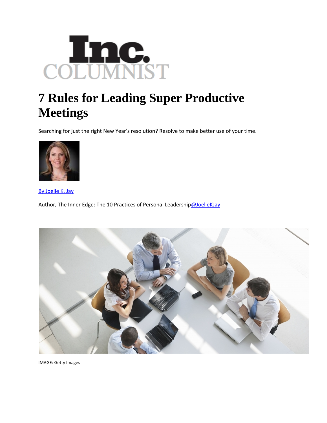

## **7 Rules for Leading Super Productive Meetings**

Searching for just the right New Year's resolution? Resolve to make better use of your time.



By Joelle K. Jay

Author, The Inner Edge: The 10 Practices of Personal Leadership[@JoelleKJay](http://www.twitter.com/JoelleKJay)



IMAGE: Getty Images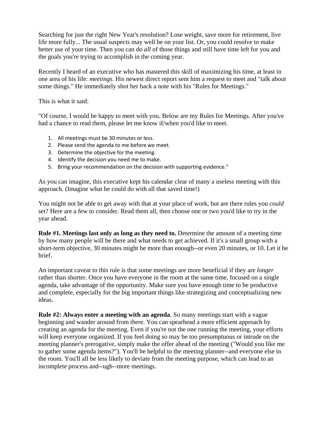Searching for just the right New Year's resolution? Lose weight, save more for retirement, live life more fully... The usual suspects may well be on your list. Or, you could resolve to make better use of your time. Then you can do *all* of those things and still have time left for you and the goals you're trying to accomplish in the coming year.

Recently I heard of an executive who has mastered this skill of maximizing his time, at least in one area of his life: *meetings*. His newest direct report sent him a request to meet and "talk about some things." He immediately shot her back a note with his "Rules for Meetings."

This is what it said:

"Of course, I would be happy to meet with you. Below are my Rules for Meetings. After you've had a chance to read them, please let me know if/when you'd like to meet.

- 1. All meetings must be 30 minutes or less.
- 2. Please send the agenda to me before we meet.
- 3. Determine the objective for the meeting.
- 4. Identify the decision you need me to make.
- 5. Bring your recommendation on the decision with supporting evidence."

As you can imagine, this executive kept his calendar clear of many a useless meeting with this approach. (Imagine what he could do with all that saved time!)

You might not be able to get away with that at your place of work, but are there rules you *could*  set? Here are a few to consider. Read them all, then choose one or two you'd like to try in the year ahead.

**Rule #1. Meetings last only as long as they need to.** Determine the amount of a meeting time by how many people will be there and what needs to get achieved. If it's a small group with a short-term objective, 30 minutes might be more than enough--or even 20 minutes, or 10. Let it be brief.

An important caveat to this rule is that some meetings are more beneficial if they are *longer*  rather than shorter. Once you have everyone in the room at the same time, focused on a single agenda, take advantage of the opportunity. Make sure you have enough time to be productive and complete, especially for the big important things like strategizing and conceptualizing new ideas.

**Rule #2: Always enter a meeting with an agenda**. So many meetings start with a vague beginning and wander around from there. You can spearhead a more efficient approach by creating an agenda for the meeting. Even if you're not the one running the meeting, your efforts will keep everyone organized. If you feel doing so may be too presumptuous or intrude on the meeting planner's prerogative, simply make the offer ahead of the meeting ("Would you like me to gather some agenda items?"). You'll be helpful to the meeting planner--and everyone else in the room. You'll all be less likely to deviate from the meeting purpose, which can lead to an incomplete process and--ugh--more meetings.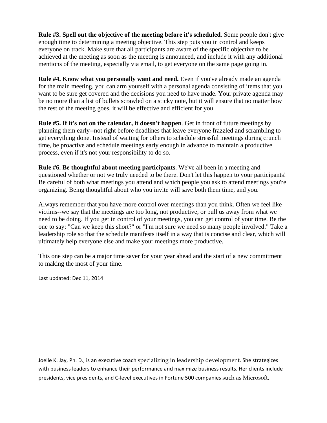**Rule #3. Spell out the objective of the meeting before it's scheduled**. Some people don't give enough time to determining a meeting objective. This step puts you in control and keeps everyone on track. Make sure that all participants are aware of the specific objective to be achieved at the meeting as soon as the meeting is announced, and include it with any additional mentions of the meeting, especially via email, to get everyone on the same page going in.

**Rule #4. Know what you personally want and need.** Even if you've already made an agenda for the main meeting, you can arm yourself with a personal agenda consisting of items that you want to be sure get covered and the decisions you need to have made. Your private agenda may be no more than a list of bullets scrawled on a sticky note, but it will ensure that no matter how the rest of the meeting goes, it will be effective and efficient for you.

**Rule #5. If it's not on the calendar, it doesn't happen**. Get in front of future meetings by planning them early--not right before deadlines that leave everyone frazzled and scrambling to get everything done. Instead of waiting for others to schedule stressful meetings during crunch time, be proactive and schedule meetings early enough in advance to maintain a productive process, even if it's not your responsibility to do so.

**Rule #6. Be thoughtful about meeting participants**. We've all been in a meeting and questioned whether or not we truly needed to be there. Don't let this happen to your participants! Be careful of both what meetings you attend and which people you ask to attend meetings you're organizing. Being thoughtful about who you invite will save both them time, and you.

Always remember that you have more control over meetings than you think. Often we feel like victims--we say that the meetings are too long, not productive, or pull us away from what we need to be doing. If you get in control of your meetings, you can get control of your time. Be the one to say: "Can we keep this short?" or "I'm not sure we need so many people involved." Take a leadership role so that the schedule manifests itself in a way that is concise and clear, which will ultimately help everyone else and make your meetings more productive.

This one step can be a major time saver for your year ahead and the start of a new commitment to making the most of your time.

Last updated: Dec 11, 2014

Joelle K. Jay, Ph. D., is an executive coach specializing in leadership development. She strategizes with business leaders to enhance their performance and maximize business results. Her clients include presidents, vice presidents, and C‐level executives in Fortune 500 companies such as Microsoft,